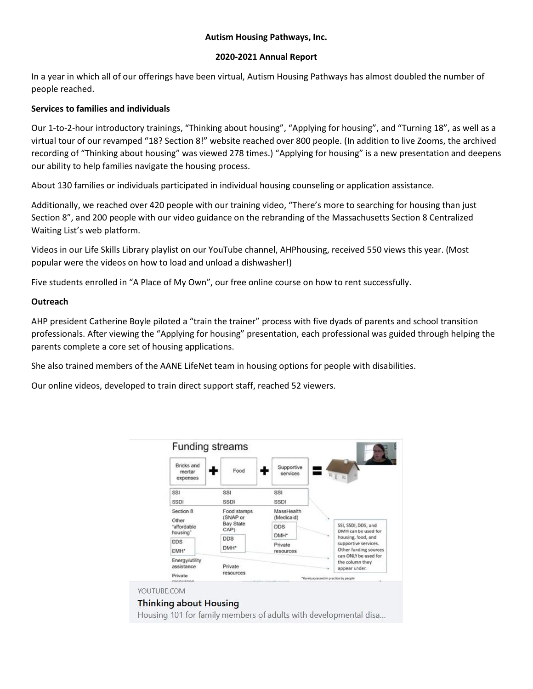### **2020-2021 Annual Report**

In a year in which all of our offerings have been virtual, Autism Housing Pathways has almost doubled the number of people reached.

### **Services to families and individuals**

Our 1-to-2-hour introductory trainings, "Thinking about housing", "Applying for housing", and "Turning 18", as well as a virtual tour of our revamped "18? Section 8!" website reached over 800 people. (In addition to live Zooms, the archived recording of "Thinking about housing" was viewed 278 times.) "Applying for housing" is a new presentation and deepens our ability to help families navigate the housing process.

About 130 families or individuals participated in individual housing counseling or application assistance.

Additionally, we reached over 420 people with our training video, "There's more to searching for housing than just Section 8", and 200 people with our video guidance on the rebranding of the Massachusetts Section 8 Centralized Waiting List's web platform.

Videos in our Life Skills Library playlist on our YouTube channel, AHPhousing, received 550 views this year. (Most popular were the videos on how to load and unload a dishwasher!)

Five students enrolled in "A Place of My Own", our free online course on how to rent successfully.

#### **Outreach**

AHP president Catherine Boyle piloted a "train the trainer" process with five dyads of parents and school transition professionals. After viewing the "Applying for housing" presentation, each professional was guided through helping the parents complete a core set of housing applications.

She also trained members of the AANE LifeNet team in housing options for people with disabilities.

Our online videos, developed to train direct support staff, reached 52 viewers.

| Bricks and<br>mortar<br>expenses         | Food                     | Supportive<br>services         | $R$   $R$                                                           |
|------------------------------------------|--------------------------|--------------------------------|---------------------------------------------------------------------|
| SSI                                      | SSI                      | SSI                            |                                                                     |
| SSDI                                     | SSDI                     | SSDI                           |                                                                     |
| Section 8<br>Other                       | Food stamps<br>SNAP or   | MassHealth<br>(Medicaid)       |                                                                     |
| "affordable<br>housing"                  | <b>Bay State</b><br>CAP) | <b>DDS</b><br>DMH <sup>*</sup> | SSI, SSDI, DDS, and<br>DMH can be used for                          |
| <b>DDS</b><br><b>DDS</b><br>DMH*<br>DMH* |                          | Private<br>resources           | housing, food, and<br>supportive services.<br>Other funding sources |
| Energy/utility                           |                          |                                | can ONLY be used for<br>the column they                             |

YOUTUBE.COM

## **Thinking about Housing**

Housing 101 for family members of adults with developmental disa...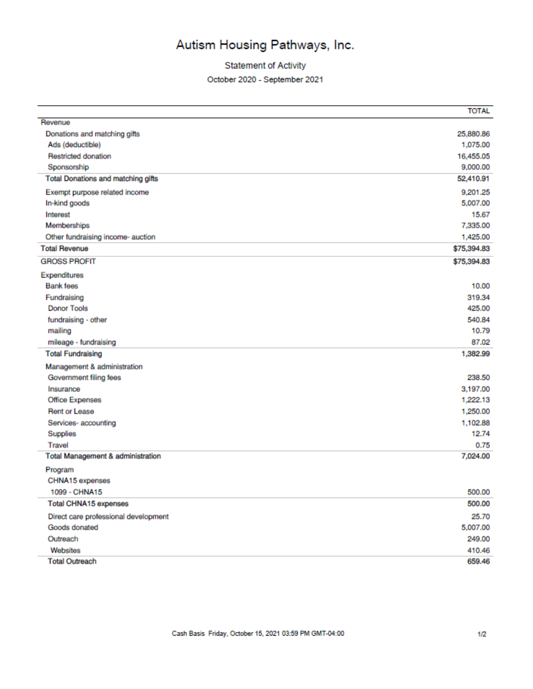## **Statement of Activity**

October 2020 - September 2021

|                                           | <b>TOTAL</b> |
|-------------------------------------------|--------------|
| Revenue                                   |              |
| Donations and matching gifts              | 25,880.86    |
| Ads (deductible)                          | 1,075.00     |
| <b>Restricted donation</b>                | 16,455.05    |
| Sponsorship                               | 9,000.00     |
| <b>Total Donations and matching gifts</b> | 52,410.91    |
| Exempt purpose related income             | 9.201.25     |
| In-kind goods                             | 5,007.00     |
| Interest                                  | 15.67        |
| Memberships                               | 7,335.00     |
| Other fundraising income- auction         | 1,425.00     |
| <b>Total Revenue</b>                      | \$75,394.83  |
| <b>GROSS PROFIT</b>                       | \$75,394.83  |
| Expenditures                              |              |
| <b>Bank</b> fees                          | 10.00        |
| Fundraising                               | 319.34       |
| <b>Donor Tools</b>                        | 425.00       |
| fundraising - other                       | 540.84       |
| mailing                                   | 10.79        |
| mileage - fundraising                     | 87.02        |
| <b>Total Fundraising</b>                  | 1,382.99     |
| Management & administration               |              |
| Government filing fees                    | 238.50       |
| Insurance                                 | 3,197.00     |
| <b>Office Expenses</b>                    | 1,222.13     |
| <b>Rent or Lease</b>                      | 1,250.00     |
| Services-accounting                       | 1,102.88     |
| Supplies                                  | 12.74        |
| Travel                                    | 0.75         |
| Total Management & administration         | 7,024.00     |
| Program                                   |              |
| CHNA15 expenses                           |              |
| 1099 - CHNA15                             | 500.00       |
| <b>Total CHNA15 expenses</b>              | 500.00       |
| Direct care professional development      | 25.70        |
| Goods donated                             | 5,007.00     |
| Outreach                                  | 249.00       |
| Websites                                  | 410.46       |
| <b>Total Outreach</b>                     | 659.46       |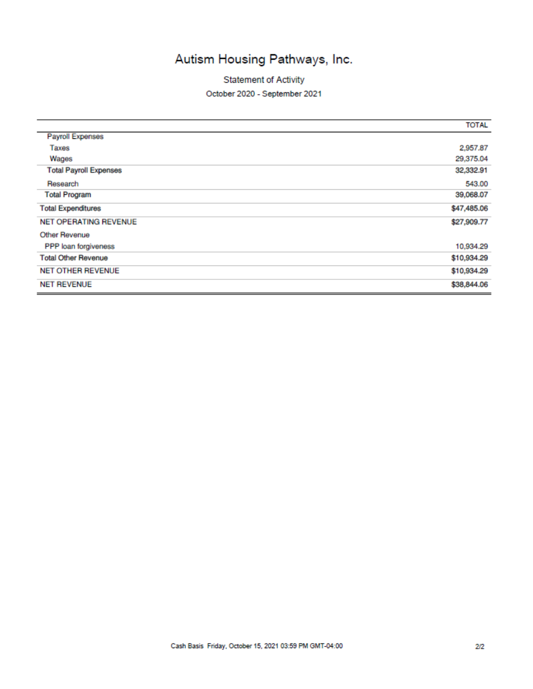**Statement of Activity** 

#### October 2020 - September 2021

|                               | <b>TOTAL</b> |
|-------------------------------|--------------|
| <b>Payroll Expenses</b>       |              |
| Taxes                         | 2,957.87     |
| Wages                         | 29,375.04    |
| <b>Total Payroll Expenses</b> | 32,332.91    |
| Research                      | 543.00       |
| <b>Total Program</b>          | 39,068.07    |
| <b>Total Expenditures</b>     | \$47,485.06  |
| <b>NET OPERATING REVENUE</b>  | \$27,909.77  |
| Other Revenue                 |              |
| PPP loan forgiveness          | 10,934.29    |
| <b>Total Other Revenue</b>    | \$10,934.29  |
| <b>NET OTHER REVENUE</b>      | \$10,934.29  |
| <b>NET REVENUE</b>            | \$38,844.06  |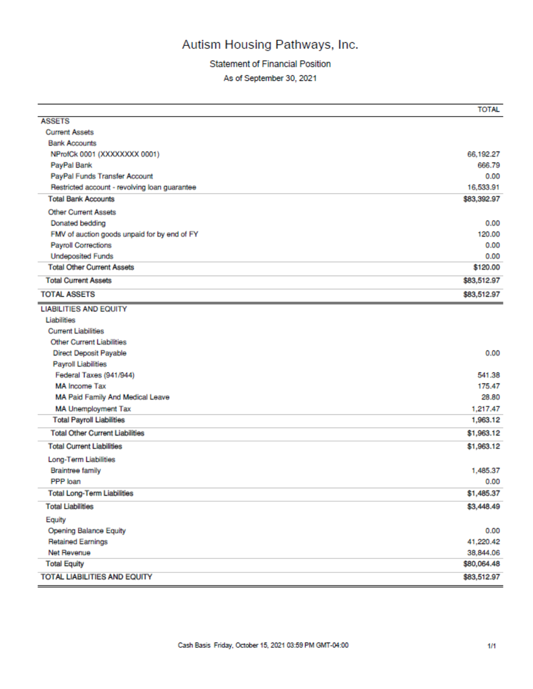## **Statement of Financial Position**

As of September 30, 2021

|                                               | <b>TOTAL</b> |
|-----------------------------------------------|--------------|
| <b>ASSETS</b>                                 |              |
| <b>Current Assets</b>                         |              |
| <b>Bank Accounts</b>                          |              |
| NProfCk 0001 (XXXXXXXX 0001)                  | 66,192.27    |
| PayPal Bank                                   | 666.79       |
| PayPal Funds Transfer Account                 | 0.00         |
| Restricted account - revolving loan guarantee | 16,533.91    |
| <b>Total Bank Accounts</b>                    | \$83,392.97  |
| <b>Other Current Assets</b>                   |              |
| Donated bedding                               | 0.00         |
| FMV of auction goods unpaid for by end of FY  | 120.00       |
| <b>Payroll Corrections</b>                    | 0.00         |
| <b>Undeposited Funds</b>                      | 0.00         |
| <b>Total Other Current Assets</b>             | \$120.00     |
| <b>Total Current Assets</b>                   | \$83,512.97  |
| <b>TOTAL ASSETS</b>                           | \$83,512.97  |
| <b>LIABILITIES AND EQUITY</b>                 |              |
| Liabilities                                   |              |
| <b>Current Liabilities</b>                    |              |
| <b>Other Current Liabilities</b>              |              |
| <b>Direct Deposit Payable</b>                 | 0.00         |
| <b>Payroll Liabilities</b>                    |              |
| Federal Taxes (941/944)                       | 541.38       |
| <b>MA Income Tax</b>                          | 175.47       |
| MA Paid Family And Medical Leave              | 28.80        |
| <b>MA Unemployment Tax</b>                    | 1,217.47     |
| <b>Total Payroll Liabilities</b>              | 1,963.12     |
| <b>Total Other Current Liabilities</b>        | \$1,963.12   |
| <b>Total Current Liabilities</b>              | \$1,963.12   |
| Long-Term Liabilities                         |              |
| <b>Braintree family</b>                       | 1,485.37     |
| PPP loan                                      | 0.00         |
| <b>Total Long-Term Liabilities</b>            | \$1,485.37   |
| <b>Total Liabilities</b>                      | \$3,448.49   |
| Equity                                        |              |
| Opening Balance Equity                        | 0.00         |
| <b>Retained Earnings</b>                      | 41,220.42    |
| Net Revenue                                   | 38,844.06    |
| <b>Total Equity</b>                           | \$80,064.48  |
| <b>TOTAL LIABILITIES AND EQUITY</b>           | \$83,512.97  |
|                                               |              |